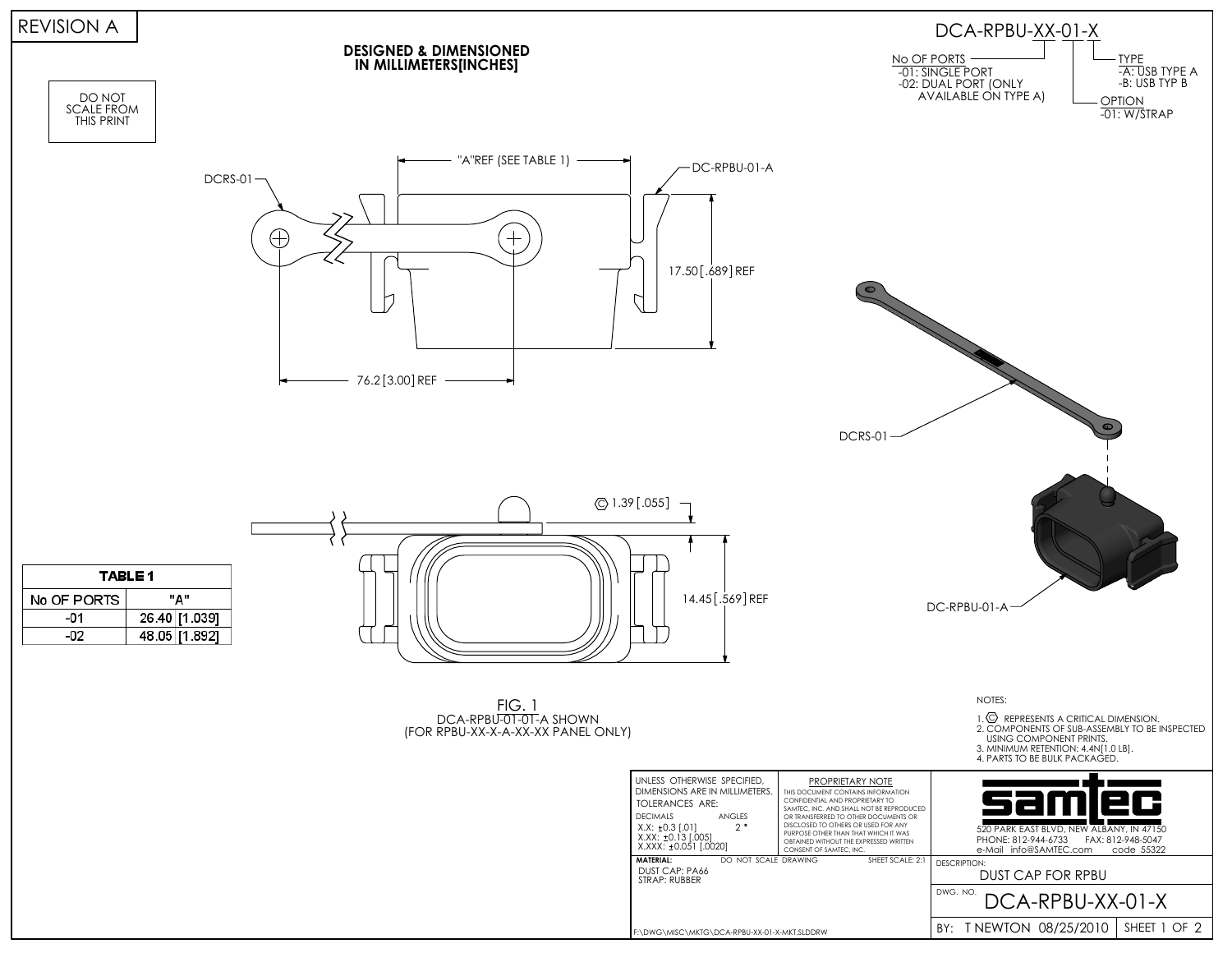